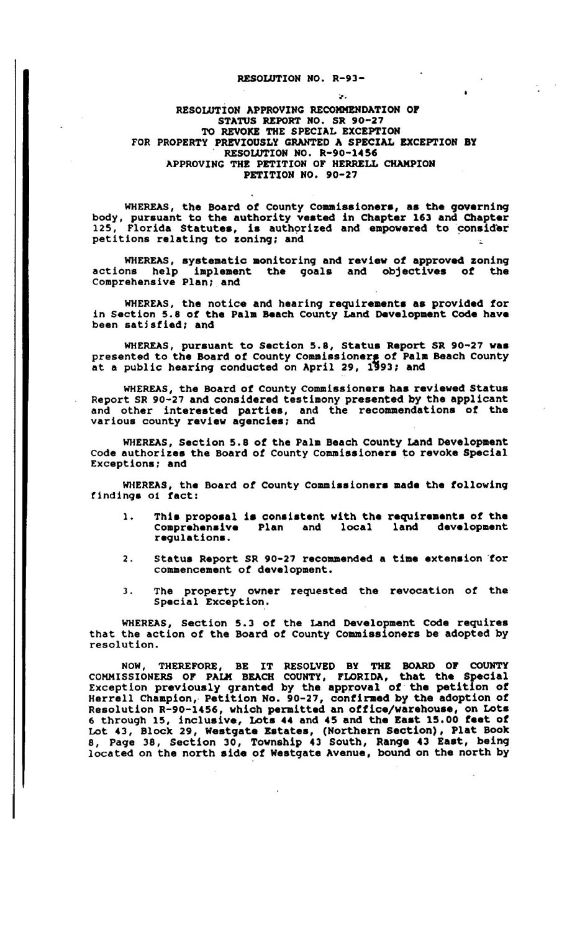## RESOLUTION NO. R-93-

## RESOLUTION APPROVING RECOMMENDATION or STATUS REPORT NO. SR 90-27 TO REVOKE THE SPECIAL EXCEPTION FOR PROPERTY PREVIOUSLY GRANTED A SPECIAL EXCEPTION BY RESOLUTION NO. R-90-1456 APPROVING THE PETITION OF HERRELL CHAMPION PETITION NO. 90-27

WHEREAS, the Board of County Commissioners, as the governing body, pursuant to the authority vested in Chapter 163 and Chapter 125, Florida Statutes, is authorized and empowered to consider petitions relating to zoninq; and

WHEREAS, systematic monitoring and review of approved zoning actions help iaplement the goals and objectives of the Comprehensive Plan; and

WHEREAS, the notice and hearing requirements as provided for in section 5.8 of the Pala Beach county Land Development Code have been satisfied; and

WHEREAS, pursuant to Section 5.8, Status Report SR 90-27 was presented to the Board of County Commissioners of Palm Beach County at a public hearing conducted on April 29, 1993; and

WHEREAS, the Board of county Commissioners has reviewed Status Report SR 90-27 and considered testimony presented by the applicant and other lntereated parties, and the recommendationa of the various county review agencies; and

WHEREAS, Section 5.8 of the Palm Beach County Land Development Code authorizes the Board of County Commissioners to revoke Special Exceptions; and

WHEREAS, the Board of County Commissioners made the following findings 01 fact:

- This proposal is consistent with the requirements of the<br>Comprehensive ePlan and local land development  $\mathbf{1}$ . Comprehensive Plan and local land development regulations.
- 2. Status Report SR 90-27 recommended a time extension for commencement of development.
- 3. The property owner requested the revocation of the Special Exception.

WHEREAS, Section 5.3 of the Land Development Code requires that the action of the Board of County Commissioners be adopted by resolution.

NOW, THEREFORE, BE IT RESOLVED BY THE BOARD OF COUNTY COMMISSIONERS OF PALM BEACH COUNTY, FLORIDA, that the Special Exception previously granted by the approval of the petition of Herrell chaapion, Petition No. 90-27, confirmed by the adoption of Resolution R-90-1456, which permitted an office/warehouse, on Lots 6 through 15, inclusive, Lots 44 and 45 and the East 15.00 feet of Lot 43, Block 29, Westgate Estates, (Northern Section), Plat Book 8, Page 38, Section 30, Township 43 South, Ranqe 43 East, beinq located on the north aide of Westgate Avenue, bound on the north by